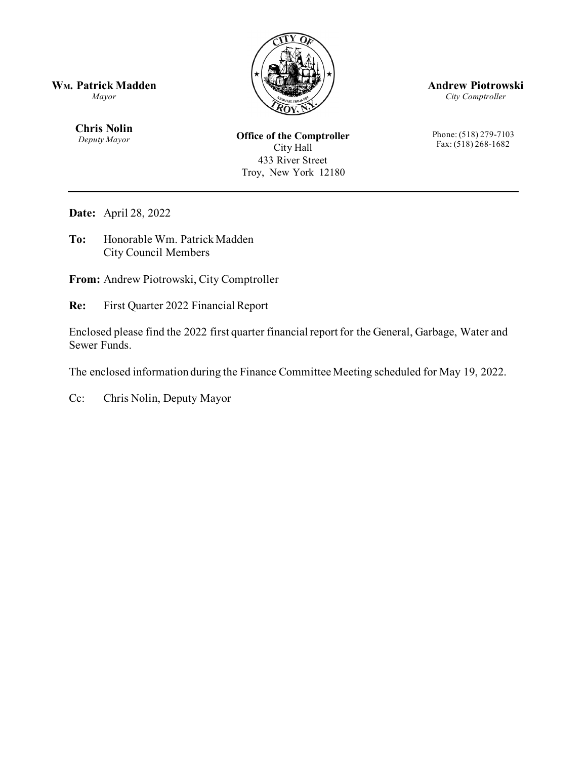

**Andrew Piotrowski**

*City Comptroller*

Phone: (518) 279-7103 Fax: (518) 268-1682

**WM. Patrick Madden**

*Mayor*

**Chris Nolin** *Deputy Mayor*

**Office of the Comptroller** City Hall 433 River Street Troy, New York 12180

**Date:** April 28, 2022

**To:** Honorable Wm. Patrick Madden City Council Members

**From:** Andrew Piotrowski, City Comptroller

**Re:** First Quarter 2022 Financial Report

Enclosed please find the 2022 first quarter financial report for the General, Garbage, Water and Sewer Funds.

The enclosed information during the Finance Committee Meeting scheduled for May 19, 2022.

Cc: Chris Nolin, Deputy Mayor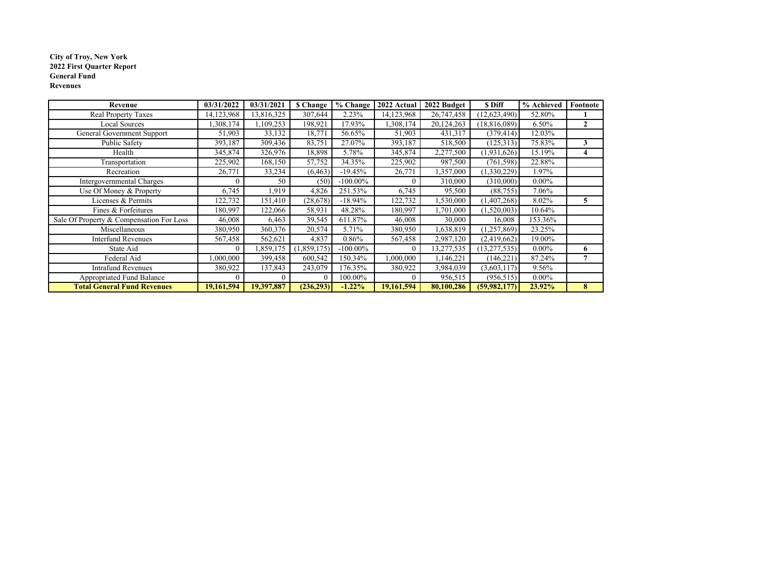#### **City of Troy, New York 2022 First Quarter Report General FundRevenues**

| Revenue                                  | 03/31/2022 | 03/31/2021 | <b>S</b> Change | % Change    | 2022 Actual | 2022 Budget | \$ Diff        | % Achieved | Footnote     |
|------------------------------------------|------------|------------|-----------------|-------------|-------------|-------------|----------------|------------|--------------|
| Real Property Taxes                      | 14,123,968 | 13,816,325 | 307,644         | 2.23%       | 14,123,968  | 26,747,458  | (12, 623, 490) | 52.80%     |              |
| <b>Local Sources</b>                     | .308,174   | 109,253    | 198,921         | 17.93%      | .308,174    | 20,124,263  | (18, 816, 089) | 6.50%      | $\mathbf{2}$ |
| General Government Support               | 51,903     | 33,132     | 18,771          | 56.65%      | 51,903      | 431,317     | (379, 414)     | 12.03%     |              |
| Public Safety                            | 393,187    | 309,436    | 83,751          | 27.07%      | 393,187     | 518,500     | (125,313)      | 75.83%     | 3            |
| Health                                   | 345,874    | 326,976    | 18,898          | 5.78%       | 345,874     | 2,277,500   | (1,931,626)    | 15.19%     | 4            |
| Transportation                           | 225,902    | 168,150    | 57,752          | 34.35%      | 225,902     | 987,500     | (761, 598)     | 22.88%     |              |
| Recreation                               | 26,771     | 33,234     | (6, 463)        | $-19.45%$   | 26,771      | 1,357,000   | (1,330,229)    | 1.97%      |              |
| Intergovernmental Charges                |            | 50         | (50)            | $-100.00\%$ |             | 310,000     | (310,000)      | $0.00\%$   |              |
| Use Of Money & Property                  | 6,745      | 1,919      | 4,826           | 251.53%     | 6,745       | 95,500      | (88, 755)      | 7.06%      |              |
| Licenses & Permits                       | 122,732    | 151,410    | (28, 678)       | $-18.94%$   | 122,732     | ,530,000    | (1,407,268)    | 8.02%      | 5            |
| Fines & Forfeitures                      | 180,997    | 122,066    | 58,931          | 48.28%      | 180,997     | 1,701,000   | (1,520,003)    | 10.64%     |              |
| Sale Of Property & Compensation For Loss | 46,008     | 6,463      | 39,545          | 611.87%     | 46,008      | 30,000      | 16,008         | 153.36%    |              |
| Miscellaneous                            | 380,950    | 360,376    | 20,574          | 5.71%       | 380,950     | 1,638,819   | (1,257,869)    | 23.25%     |              |
| <b>Interfund Revenues</b>                | 567,458    | 562,621    | 4,837           | $0.86\%$    | 567,458     | 2,987,120   | (2,419,662)    | 19.00%     |              |
| State Aid                                | ſ          | ,859,175   | (1, 859, 175)   | $-100.00\%$ |             | 13,277,535  | (13, 277, 535) | $0.00\%$   | 6            |
| Federal Aid                              | ,000,000   | 399,458    | 600,542         | 150.34%     | 000,000     | ,146,221    | (146, 221)     | 87.24%     |              |
| <b>Intrafund Revenues</b>                | 380,922    | 137,843    | 243,079         | 176.35%     | 380,922     | 3,984,039   | (3,603,117)    | 9.56%      |              |
| Appropriated Fund Balance                |            |            | $\Omega$        | 100.00%     |             | 956,515     | (956, 515)     | $0.00\%$   |              |
| <b>Total General Fund Revenues</b>       | 19,161,594 | 19,397,887 | (236,293)       | $-1.22%$    | 19,161,594  | 80,100,286  | (59, 982, 177) | 23.92%     | 8            |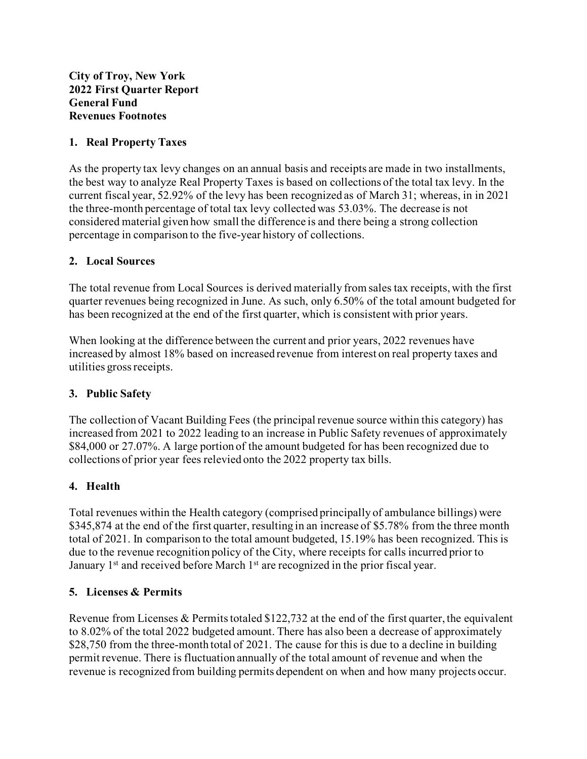#### **1. Real Property Taxes**

As the property tax levy changes on an annual basis and receipts are made in two installments, the best way to analyze Real Property Taxes is based on collections of the total tax levy. In the current fiscal year, 52.92% of the levy has been recognized as of March 31; whereas, in in 2021 the three-month percentage of total tax levy collected was 53.03%. The decrease is not considered material given how small the difference is and there being a strong collection percentage in comparison to the five-year history of collections.

#### **2. Local Sources**

The total revenue from Local Sources is derived materially from sales tax receipts, with the first quarter revenues being recognized in June. As such, only 6.50% of the total amount budgeted for has been recognized at the end of the first quarter, which is consistent with prior years.

When looking at the difference between the current and prior years, 2022 revenues have increased by almost 18% based on increased revenue from interest on real property taxes and utilities gross receipts.

#### **3. Public Safety**

The collection of Vacant Building Fees (the principal revenue source within this category) has increased from 2021 to 2022 leading to an increase in Public Safety revenues of approximately \$84,000 or 27.07%. A large portion of the amount budgeted for has been recognized due to collections of prior year fees relevied onto the 2022 property tax bills.

#### **4. Health**

Total revenues within the Health category (comprised principally of ambulance billings) were \$345,874 at the end of the first quarter, resulting in an increase of \$5.78% from the three month total of 2021. In comparison to the total amount budgeted, 15.19% has been recognized. This is due to the revenue recognition policy of the City, where receipts for calls incurred prior to January  $1<sup>st</sup>$  and received before March  $1<sup>st</sup>$  are recognized in the prior fiscal year.

#### **5. Licenses & Permits**

Revenue from Licenses & Permits totaled  $$122,732$  at the end of the first quarter, the equivalent to 8.02% of the total 2022 budgeted amount. There has also been a decrease of approximately \$28,750 from the three-month total of 2021. The cause for this is due to a decline in building permit revenue. There is fluctuation annually of the total amount of revenue and when the revenue is recognized from building permits dependent on when and how many projects occur.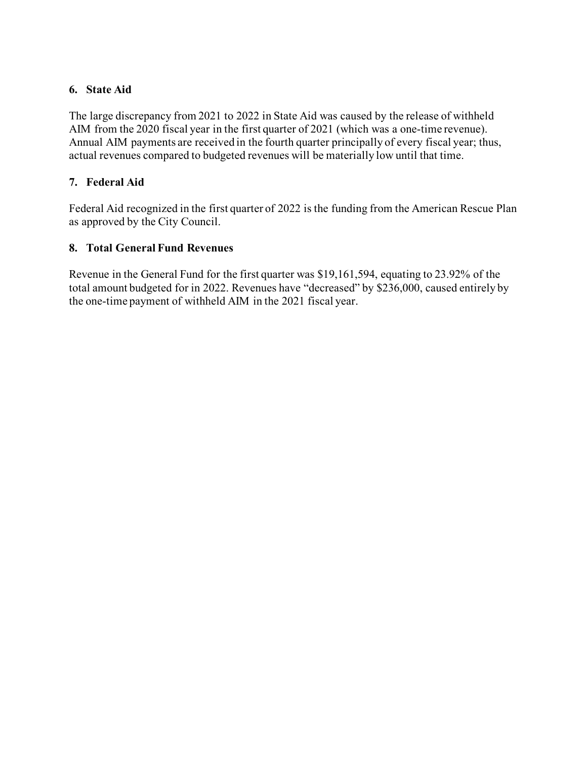#### **6. State Aid**

The large discrepancy from 2021 to 2022 in State Aid was caused by the release of withheld AIM from the 2020 fiscal year in the first quarter of 2021 (which was a one-time revenue). Annual AIM payments are received in the fourth quarter principally of every fiscal year; thus, actual revenues compared to budgeted revenues will be materially low until that time.

## **7. Federal Aid**

Federal Aid recognized in the first quarter of 2022 is the funding from the American Rescue Plan as approved by the City Council.

## **8. Total General Fund Revenues**

Revenue in the General Fund for the first quarter was \$19,161,594, equating to 23.92% of the total amount budgeted for in 2022. Revenues have "decreased" by \$236,000, caused entirely by the one-time payment of withheld AIM in the 2021 fiscal year.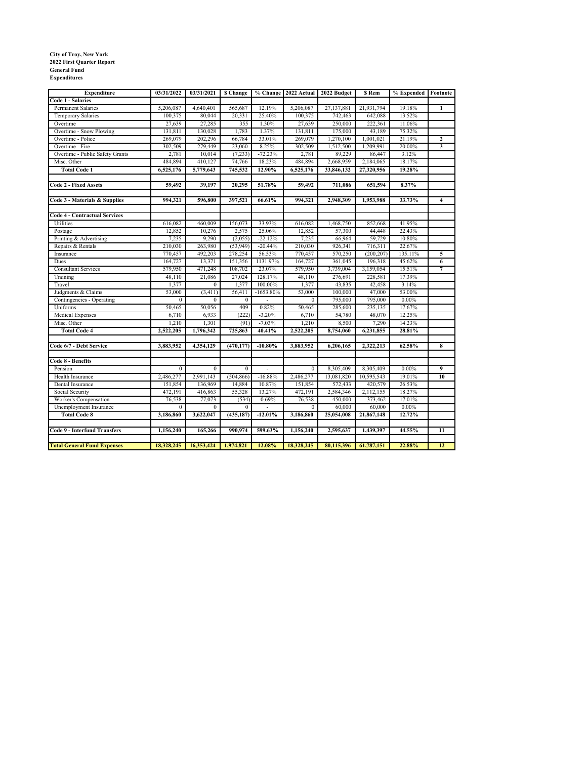# **City of Troy, New York 2022 First Quarter Report General Fund Expenditures**

| <b>Expenditure</b>                   | 03/31/2022   | 03/31/2021   | <b>S</b> Change |                |              | % Change 2022 Actual 2022 Budget | \$ Rem     | % Expended Footnote |                         |
|--------------------------------------|--------------|--------------|-----------------|----------------|--------------|----------------------------------|------------|---------------------|-------------------------|
| <b>Code 1 - Salaries</b>             |              |              |                 |                |              |                                  |            |                     |                         |
| Permanent Salaries                   | 5,206,087    | 4,640,401    | 565,687         | 12.19%         | 5,206,087    | 27,137,881                       | 21,931,794 | 19.18%              | $\mathbf{1}$            |
| Temporary Salaries                   | 100,375      | 80,044       | 20,331          | 25.40%         | 100,375      | 742,463                          | 642,088    | 13.52%              |                         |
| Overtime                             | 27,639       | 27,285       | 355             | 1.30%          | 27,639       | 250,000                          | 222,361    | 11.06%              |                         |
| Overtime - Snow Plowing              | 131,811      | 130,028      | 1.783           | 1.37%          | 131,811      | 175,000                          | 43,189     | 75.32%              |                         |
| Overtime - Police                    | 269,079      | 202,296      | 66,784          | 33.01%         | 269,079      | 1,270,100                        | 1,001,021  | 21.19%              | $\overline{\mathbf{2}}$ |
| Overtime - Fire                      | 302,509      | 279,449      | 23,060          | 8.25%          | 302,509      | 1,512,500                        | 1,209,991  | 20.00%              | 3                       |
| Overtime - Public Safety Grants      | 2,781        | 10,014       | (7, 233)        | $-72.23%$      | 2,781        | 89,229                           | 86,447     | 3.12%               |                         |
| Misc. Other                          | 484,894      | 410,127      | 74,766          | 18.23%         | 484,894      | 2,668,959                        | 2,184,065  | 18.17%              |                         |
| <b>Total Code 1</b>                  | 6,525,176    | 5,779,643    | 745,532         | 12.90%         | 6,525,176    | 33,846,132                       | 27,320,956 | 19.28%              |                         |
|                                      |              |              |                 |                |              |                                  |            |                     |                         |
| <b>Code 2 - Fixed Assets</b>         | 59,492       | 39,197       | 20,295          | 51.78%         | 59,492       | 711,086                          | 651,594    | 8.37%               |                         |
| Code 3 - Materials & Supplies        | 994.321      | 596.800      | 397,521         | 66.61%         | 994,321      | 2,948,309                        | 1,953,988  | 33.73%              | $\overline{\mathbf{4}}$ |
|                                      |              |              |                 |                |              |                                  |            |                     |                         |
| <b>Code 4 - Contractual Services</b> |              |              |                 |                |              |                                  |            |                     |                         |
| Utilities                            | 616,082      | 460,009      | 156,073         | 33.93%         | 616,082      | 1,468,750                        | 852,668    | 41.95%              |                         |
| Postage                              | 12,852       | 10,276       | 2,575           | 25.06%         | 12,852       | 57,300                           | 44,448     | 22.43%              |                         |
| Printing & Advertising               | 7,235        | 9,290        | (2,055)         | $-22.12%$      | 7,235        | 66,964                           | 59,729     | 10.80%              |                         |
| Repairs & Rentals                    | 210,030      | 263,980      | (53, 949)       | $-20.44%$      | 210,030      | 926,341                          | 716,311    | 22.67%              |                         |
| Insurance                            | 770,457      | 492,203      | 278,254         | 56.53%         | 770,457      | 570,250                          | (200, 207) | 135.11%             | 5                       |
| Dues                                 | 164,727      | 13,371       | 151,356         | 1131.97%       | 164,727      | 361,045                          | 196,318    | 45.62%              | $\overline{6}$          |
| <b>Consultant Services</b>           | 579,950      | 471,248      | 108,702         | 23.07%         | 579,950      | 3,739,004                        | 3,159,054  | 15.51%              | $\overline{7}$          |
| Training                             | 48,110       | 21,086       | 27,024          | 128.17%        | 48,110       | 276,691                          | 228,581    | 17.39%              |                         |
| Travel                               | 1,377        | $\mathbf{0}$ | 1,377           | 100.00%        | 1,377        | 43,835                           | 42,458     | 3.14%               |                         |
| Judgments & Claims                   | 53,000       | (3, 411)     | 56,411          | $-1653.80%$    | 53,000       | 100,000                          | 47,000     | 53.00%              |                         |
| Contingencies - Operating            | $\mathbf{0}$ | $\Omega$     | $\mathbf{0}$    | $\overline{a}$ | $\mathbf{0}$ | 795,000                          | 795,000    | $0.00\%$            |                         |
| Uniforms                             | 50,465       | 50,056       | 409             | 0.82%          | 50,465       | 285,600                          | 235,135    | 17.67%              |                         |
| Medical Expenses                     | 6,710        | 6,933        | (222)           | $-3.20%$       | 6,710        | 54,780                           | 48,070     | 12.25%              |                         |
| Misc. Other                          | 1,210        | 1,301        | (91)            | $-7.03%$       | 1,210        | 8,500                            | 7,290      | 14.23%              |                         |
| <b>Total Code 4</b>                  | 2,522,205    | 1,796,342    | 725,863         | 40.41%         | 2,522,205    | 8,754,060                        | 6,231,855  | 28.81%              |                         |
|                                      |              |              |                 |                |              |                                  |            |                     |                         |
| Code 6/7 - Debt Service              | 3,883,952    | 4,354,129    | (470, 177)      | $-10.80\%$     | 3,883,952    | 6,206,165                        | 2,322,213  | 62.58%              | 8                       |
| Code 8 - Benefits                    |              |              |                 |                |              |                                  |            |                     |                         |
| Pension                              | $\theta$     | $\Omega$     | $\Omega$        |                | $\theta$     | 8,305,409                        | 8,305,409  | $0.00\%$            | 9                       |
| Health Insurance                     | 2,486,277    | 2,991,143    | (504, 866)      | $-16.88%$      | 2,486,277    | 13,081,820                       | 10,595,543 | 19.01%              | 10                      |
| Dental Insurance                     | 151,854      | 136,969      | 14,884          | 10.87%         | 151,854      | 572,433                          | 420,579    | 26.53%              |                         |
| Social Security                      | 472,191      | 416,863      | 55,328          | 13.27%         | 472,191      | 2,584,346                        | 2,112,155  | 18.27%              |                         |
| Worker's Compensation                | 76,538       | 77,073       | (534)           | $-0.69%$       | 76,538       | 450,000                          | 373,462    | 17.01%              |                         |
| Unemployment Insurance               | $\mathbf{0}$ | $\mathbf{0}$ | $\mathbf{0}$    |                | $\mathbf{0}$ | 60,000                           | 60,000     | $0.00\%$            |                         |
| <b>Total Code 8</b>                  | 3,186,860    | 3,622,047    | (435, 187)      | $-12.01%$      | 3,186,860    | 25,054,008                       | 21,867,148 | 12.72%              |                         |
| <b>Code 9 - Interfund Transfers</b>  | 1,156,240    | 165,266      | 990.974         | 599.63%        | 1,156,240    | 2,595,637                        | 1,439,397  | 44.55%              | 11                      |
|                                      |              |              |                 |                |              |                                  |            |                     |                         |
| <b>Total General Fund Expenses</b>   | 18,328,245   | 16,353,424   | 1,974,821       | 12.08%         | 18,328,245   | 80,115,396                       | 61,787,151 | 22.88%              | $\overline{12}$         |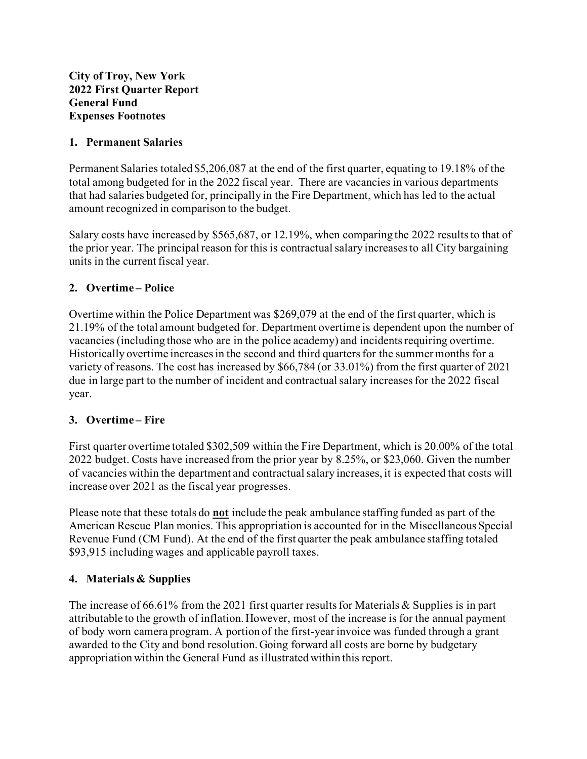#### **1. Permanent Salaries**

Permanent Salaries totaled \$5,206,087 at the end of the first quarter, equating to 19.18% of the total among budgeted for in the 2022 fiscal year. There are vacancies in various departments that had salaries budgeted for, principally in the Fire Department, which has led to the actual amount recognized in comparison to the budget.

Salary costs have increased by \$565,687, or 12.19%, when comparing the 2022 results to that of the prior year. The principal reason for this is contractual salary increases to all City bargaining units in the current fiscal year.

## **2. Overtime – Police**

Overtime within the Police Department was \$269,079 at the end of the first quarter, which is 21.19% of the total amount budgeted for. Department overtime is dependent upon the number of vacancies (including those who are in the police academy) and incidents requiring overtime. Historically overtime increases in the second and third quarters for the summer months for a variety of reasons. The cost has increased by \$66,784 (or 33.01%) from the first quarter of 2021 due in large part to the number of incident and contractual salary increases for the 2022 fiscal year.

#### **3. Overtime – Fire**

First quarter overtime totaled \$302,509 within the Fire Department, which is 20.00% of the total 2022 budget. Costs have increased from the prior year by 8.25%, or \$23,060. Given the number of vacancies within the department and contractual salary increases, it is expected that costs will increase over 2021 as the fiscal year progresses.

Please note that these totals do **not** include the peak ambulance staffing funded as part of the American Rescue Plan monies. This appropriation is accounted for in the Miscellaneous Special Revenue Fund (CM Fund). At the end of the first quarter the peak ambulance staffing totaled \$93,915 including wages and applicable payroll taxes.

# **4. Materials & Supplies**

The increase of 66.61% from the 2021 first quarter results for Materials & Supplies is in part attributable to the growth of inflation. However, most of the increase is for the annual payment of body worn camera program. A portion of the first-year invoice was funded through a grant awarded to the City and bond resolution. Going forward all costs are borne by budgetary appropriation within the General Fund as illustrated within this report.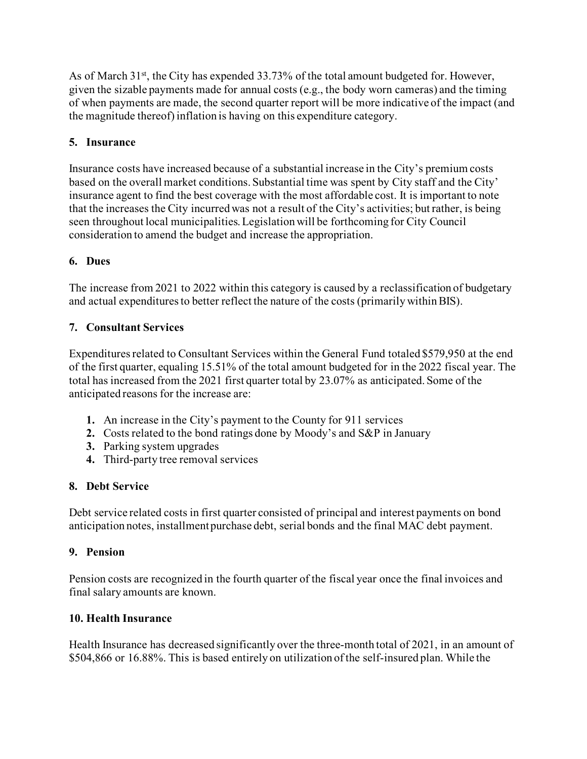As of March  $31<sup>st</sup>$ , the City has expended 33.73% of the total amount budgeted for. However, given the sizable payments made for annual costs (e.g., the body worn cameras) and the timing of when payments are made, the second quarter report will be more indicative of the impact (and the magnitude thereof) inflation is having on this expenditure category.

# **5. Insurance**

Insurance costs have increased because of a substantial increase in the City's premium costs based on the overall market conditions. Substantial time was spent by City staff and the City' insurance agent to find the best coverage with the most affordable cost. It is important to note that the increases the City incurred was not a result of the City's activities; but rather, is being seen throughout local municipalities.Legislation will be forthcoming for City Council consideration to amend the budget and increase the appropriation.

# **6. Dues**

The increase from 2021 to 2022 within this category is caused by a reclassification of budgetary and actual expenditures to better reflect the nature of the costs (primarily within BIS).

# **7. Consultant Services**

Expenditures related to Consultant Services within the General Fund totaled \$579,950 at the end of the first quarter, equaling 15.51% of the total amount budgeted for in the 2022 fiscal year. The total has increased from the 2021 first quarter total by 23.07% as anticipated. Some of the anticipated reasons for the increase are:

- **1.** An increase in the City's payment to the County for 911 services
- **2.** Costs related to the bond ratings done by Moody's and S&P in January
- **3.** Parking system upgrades
- **4.** Third-party tree removal services

# **8. Debt Service**

Debt service related costs in first quarter consisted of principal and interest payments on bond anticipation notes, installment purchase debt, serial bonds and the final MAC debt payment.

# **9. Pension**

Pension costs are recognized in the fourth quarter of the fiscal year once the final invoices and final salary amounts are known.

# **10. Health Insurance**

Health Insurance has decreased significantly over the three-month total of 2021, in an amount of \$504,866 or 16.88%. This is based entirely on utilization of the self-insured plan. While the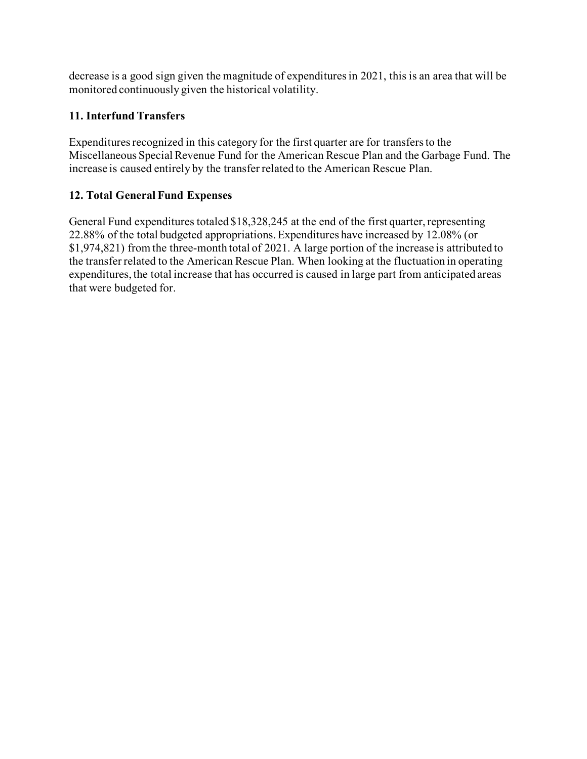decrease is a good sign given the magnitude of expenditures in 2021, this is an area that will be monitored continuously given the historical volatility.

# **11. Interfund Transfers**

Expenditures recognized in this category for the first quarter are for transfers to the Miscellaneous Special Revenue Fund for the American Rescue Plan and the Garbage Fund. The increase is caused entirely by the transfer related to the American Rescue Plan.

# **12. Total General Fund Expenses**

General Fund expenditures totaled \$18,328,245 at the end of the first quarter, representing 22.88% of the total budgeted appropriations. Expenditures have increased by 12.08% (or \$1,974,821) from the three-month total of 2021. A large portion of the increase is attributed to the transfer related to the American Rescue Plan. When looking at the fluctuation in operating expenditures, the total increase that has occurred is caused in large part from anticipated areas that were budgeted for.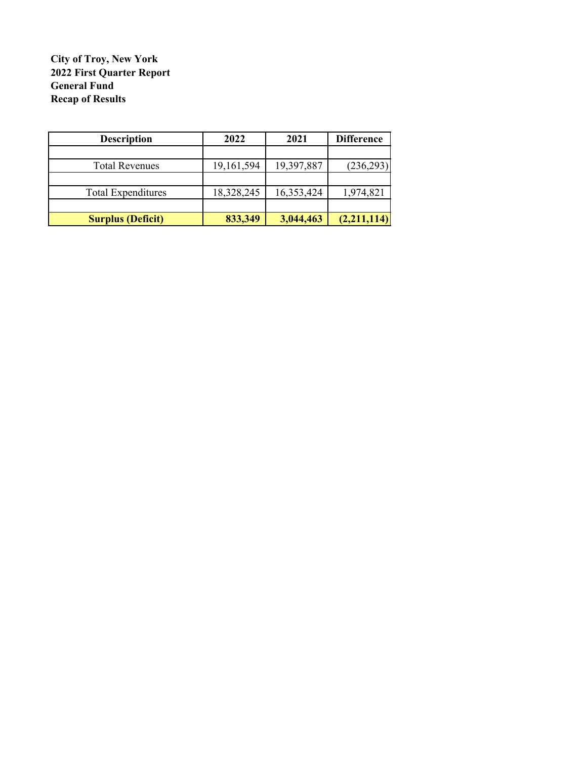#### **City of Troy, New York 2022 First Quarter Report General Fund Recap of Results**

| <b>Description</b>        | 2022       | 2021       | <b>Difference</b> |
|---------------------------|------------|------------|-------------------|
|                           |            |            |                   |
| <b>Total Revenues</b>     | 19,161,594 | 19,397,887 | (236,293)         |
|                           |            |            |                   |
| <b>Total Expenditures</b> | 18,328,245 | 16,353,424 | 1,974,821         |
|                           |            |            |                   |
| <b>Surplus (Deficit)</b>  | 833,349    | 3,044,463  | (2,211,114)       |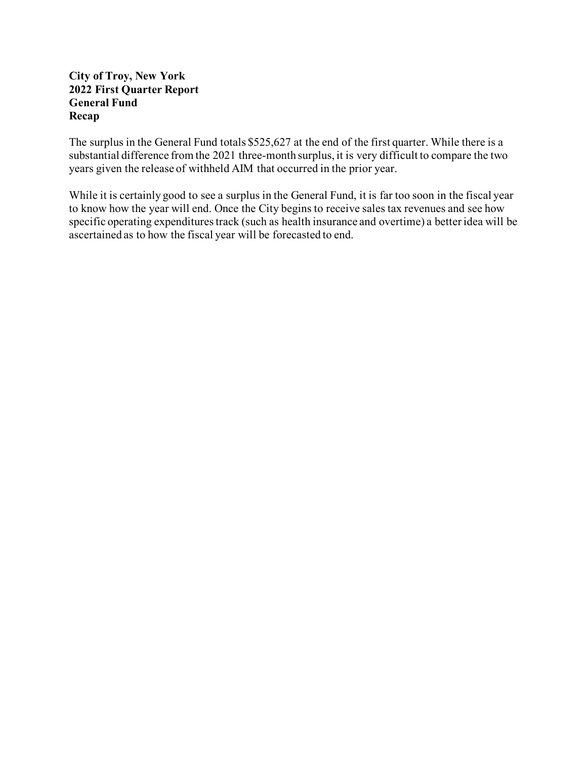#### **City of Troy, New York 2022 First Quarter Report General Fund Recap**

The surplus in the General Fund totals \$525,627 at the end of the first quarter. While there is a substantial difference from the 2021 three-month surplus, it is very difficult to compare the two years given the release of withheld AIM that occurred in the prior year.

While it is certainly good to see a surplus in the General Fund, it is far too soon in the fiscal year to know how the year will end. Once the City begins to receive sales tax revenues and see how specific operating expenditures track (such as health insurance and overtime) a better idea will be ascertained as to how the fiscal year will be forecasted to end.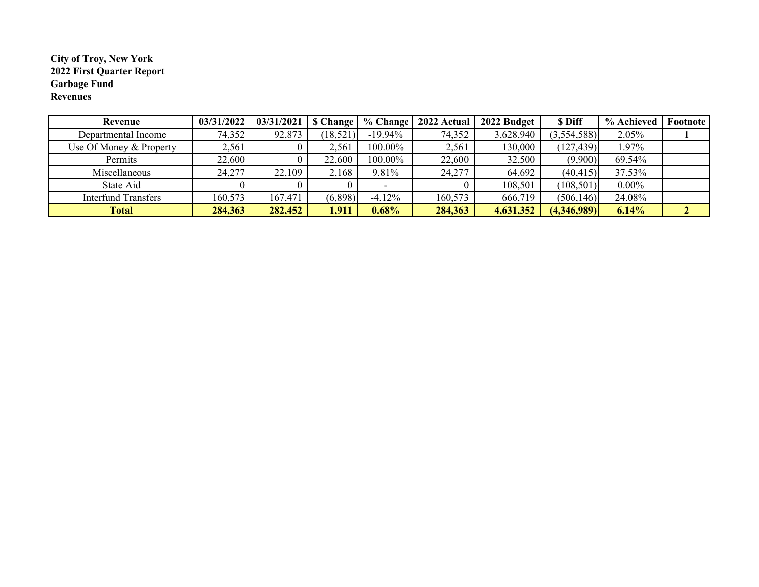#### **City of Troy, New York 2022 First Quarter Report Garbage Fund Revenues**

| Revenue                    | 03/31/2022 | 03/31/2021 | <b>S</b> Change | % Change   | 2022 Actual | 2022 Budget | \$ Diff     | % Achieved | Footnote |
|----------------------------|------------|------------|-----------------|------------|-------------|-------------|-------------|------------|----------|
| Departmental Income        | 74,352     | 92,873     | (18,521)        | $-19.94\%$ | 74,352      | 3,628,940   | (3,554,588) | 2.05%      |          |
| Use Of Money & Property    | 2,561      |            | 2,561           | 100.00%    | 2,561       | 130,000     | (127, 439)  | $.97\%$    |          |
| Permits                    | 22,600     |            | 22,600          | 100.00%    | 22,600      | 32,500      | (9,900)     | 69.54%     |          |
| Miscellaneous              | 24,277     | 22,109     | 2,168           | 9.81%      | 24,277      | 64,692      | (40, 415)   | 37.53%     |          |
| State Aid                  |            |            |                 |            |             | 108,501     | (108, 501)  | $0.00\%$   |          |
| <b>Interfund Transfers</b> | 160,573    | 167,471    | (6,898)         | $-4.12\%$  | 160,573     | 666,719     | (506, 146)  | 24.08%     |          |
| <b>Total</b>               | 284,363    | 282,452    | 1,911           | 0.68%      | 284,363     | 4,631,352   | (4,346,989) | 6.14%      | ∠        |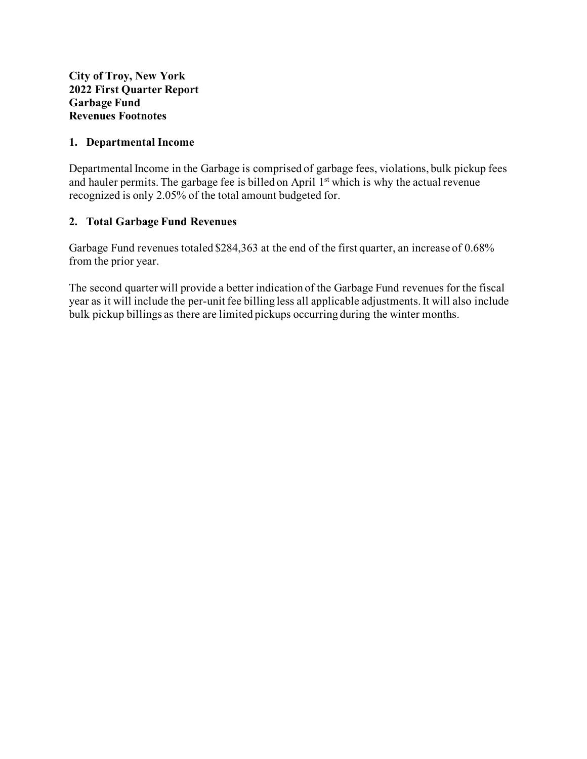#### **1. Departmental Income**

Departmental Income in the Garbage is comprised of garbage fees, violations, bulk pickup fees and hauler permits. The garbage fee is billed on April  $1<sup>st</sup>$  which is why the actual revenue recognized is only 2.05% of the total amount budgeted for.

#### **2. Total Garbage Fund Revenues**

Garbage Fund revenues totaled \$284,363 at the end of the first quarter, an increase of 0.68% from the prior year.

The second quarter will provide a better indication of the Garbage Fund revenues for the fiscal year as it will include the per-unit fee billing less all applicable adjustments. It will also include bulk pickup billings as there are limited pickups occurring during the winter months.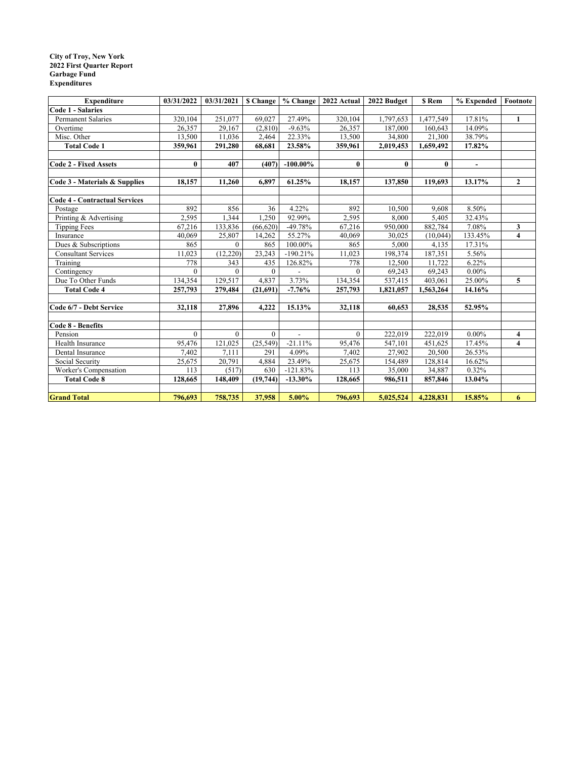#### **City of Troy, New York 2022 First Quarter Report Garbage Fund Expenditures**

| <b>Expenditure</b>                   | 03/31/2022 | 03/31/2021 |           |                          |              | \$ Change % Change 2022 Actual 2022 Budget | \$ Rem    | % Expended               | Footnote                |
|--------------------------------------|------------|------------|-----------|--------------------------|--------------|--------------------------------------------|-----------|--------------------------|-------------------------|
| <b>Code 1 - Salaries</b>             |            |            |           |                          |              |                                            |           |                          |                         |
| <b>Permanent Salaries</b>            | 320,104    | 251,077    | 69,027    | 27.49%                   | 320,104      | 1,797,653                                  | 1,477,549 | 17.81%                   | $\mathbf{1}$            |
| Overtime                             | 26,357     | 29,167     | (2,810)   | $-9.63%$                 | 26,357       | 187,000                                    | 160,643   | 14.09%                   |                         |
| Misc. Other                          | 13,500     | 11,036     | 2,464     | 22.33%                   | 13,500       | 34,800                                     | 21,300    | 38.79%                   |                         |
| <b>Total Code 1</b>                  | 359,961    | 291,280    | 68,681    | 23.58%                   | 359,961      | 2,019,453                                  | 1,659,492 | 17.82%                   |                         |
|                                      |            |            |           |                          |              |                                            |           |                          |                         |
| Code 2 - Fixed Assets                | $\bf{0}$   | 407        | (407)     | $-100.00\%$              | $\mathbf{0}$ | $\mathbf{0}$                               | $\bf{0}$  | $\overline{\phantom{a}}$ |                         |
|                                      |            |            |           |                          |              |                                            |           |                          |                         |
| Code 3 - Materials & Supplies        | 18,157     | 11,260     | 6,897     | 61.25%                   | 18,157       | 137,850                                    | 119,693   | 13.17%                   | $\mathbf{2}$            |
|                                      |            |            |           |                          |              |                                            |           |                          |                         |
| <b>Code 4 - Contractual Services</b> |            |            |           |                          |              |                                            |           |                          |                         |
| Postage                              | 892        | 856        | 36        | 4.22%                    | 892          | 10,500                                     | 9,608     | 8.50%                    |                         |
| Printing & Advertising               | 2,595      | 1,344      | 1,250     | 92.99%                   | 2,595        | 8,000                                      | 5,405     | 32.43%                   |                         |
| <b>Tipping Fees</b>                  | 67,216     | 133,836    | (66, 620) | $-49.78%$                | 67,216       | 950,000                                    | 882,784   | 7.08%                    | 3                       |
| Insurance                            | 40,069     | 25,807     | 14,262    | 55.27%                   | 40,069       | 30,025                                     | (10,044)  | 133.45%                  | 4                       |
| Dues & Subscriptions                 | 865        | $\theta$   | 865       | 100.00%                  | 865          | 5,000                                      | 4.135     | 17.31%                   |                         |
| <b>Consultant Services</b>           | 11,023     | (12,220)   | 23,243    | $-190.21%$               | 11,023       | 198,374                                    | 187,351   | 5.56%                    |                         |
| Training                             | 778        | 343        | 435       | 126.82%                  | 778          | 12,500                                     | 11,722    | 6.22%                    |                         |
| Contingency                          | $\theta$   | $\theta$   | $\theta$  |                          | $\theta$     | 69,243                                     | 69,243    | $0.00\%$                 |                         |
| Due To Other Funds                   | 134,354    | 129,517    | 4,837     | 3.73%                    | 134,354      | 537,415                                    | 403,061   | 25.00%                   | 5                       |
| <b>Total Code 4</b>                  | 257,793    | 279,484    | (21,691)  | $-7.76%$                 | 257,793      | 1,821,057                                  | 1,563,264 | 14.16%                   |                         |
|                                      |            |            |           |                          |              |                                            |           |                          |                         |
| Code 6/7 - Debt Service              | 32,118     | 27,896     | 4,222     | 15.13%                   | 32,118       | 60,653                                     | 28,535    | 52.95%                   |                         |
|                                      |            |            |           |                          |              |                                            |           |                          |                         |
| <b>Code 8 - Benefits</b>             |            |            |           |                          |              |                                            |           |                          |                         |
| Pension                              | $\theta$   | $\theta$   | $\theta$  | $\overline{\phantom{a}}$ | $\Omega$     | 222,019                                    | 222,019   | $0.00\%$                 | 4                       |
| Health Insurance                     | 95,476     | 121,025    | (25, 549) | $-21.11%$                | 95,476       | 547,101                                    | 451,625   | 17.45%                   | $\overline{\mathbf{4}}$ |
| Dental Insurance                     | 7,402      | 7.111      | 291       | 4.09%                    | 7,402        | 27,902                                     | 20,500    | 26.53%                   |                         |
| Social Security                      | 25,675     | 20,791     | 4,884     | 23.49%                   | 25,675       | 154,489                                    | 128,814   | 16.62%                   |                         |
| Worker's Compensation                | 113        | (517)      | 630       | $-121.83%$               | 113          | 35,000                                     | 34,887    | 0.32%                    |                         |
| <b>Total Code 8</b>                  | 128,665    | 148,409    | (19,744)  | $-13.30\%$               | 128,665      | 986,511                                    | 857,846   | 13.04%                   |                         |
|                                      |            |            |           |                          |              |                                            |           |                          |                         |
| <b>Grand Total</b>                   | 796,693    | 758,735    | 37,958    | 5.00%                    | 796,693      | 5,025,524                                  | 4,228,831 | 15.85%                   | 6                       |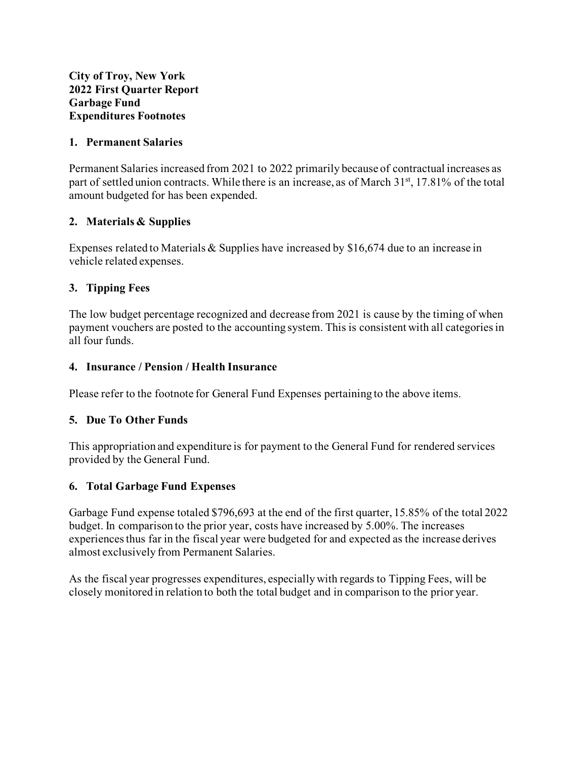#### **1. Permanent Salaries**

Permanent Salaries increased from 2021 to 2022 primarily because of contractual increases as part of settled union contracts. While there is an increase, as of March 31<sup>st</sup>, 17.81% of the total amount budgeted for has been expended.

#### **2. Materials & Supplies**

Expenses related to Materials & Supplies have increased by \$16,674 due to an increase in vehicle related expenses.

#### **3. Tipping Fees**

The low budget percentage recognized and decrease from 2021 is cause by the timing of when payment vouchers are posted to the accounting system. This is consistent with all categories in all four funds.

#### **4. Insurance / Pension / Health Insurance**

Please refer to the footnote for General Fund Expenses pertaining to the above items.

#### **5. Due To Other Funds**

This appropriation and expenditure is for payment to the General Fund for rendered services provided by the General Fund.

#### **6. Total Garbage Fund Expenses**

Garbage Fund expense totaled \$796,693 at the end of the first quarter, 15.85% of the total 2022 budget. In comparison to the prior year, costs have increased by 5.00%. The increases experiences thus far in the fiscal year were budgeted for and expected as the increase derives almost exclusively from Permanent Salaries.

As the fiscal year progresses expenditures, especially with regards to Tipping Fees, will be closely monitored in relation to both the total budget and in comparison to the prior year.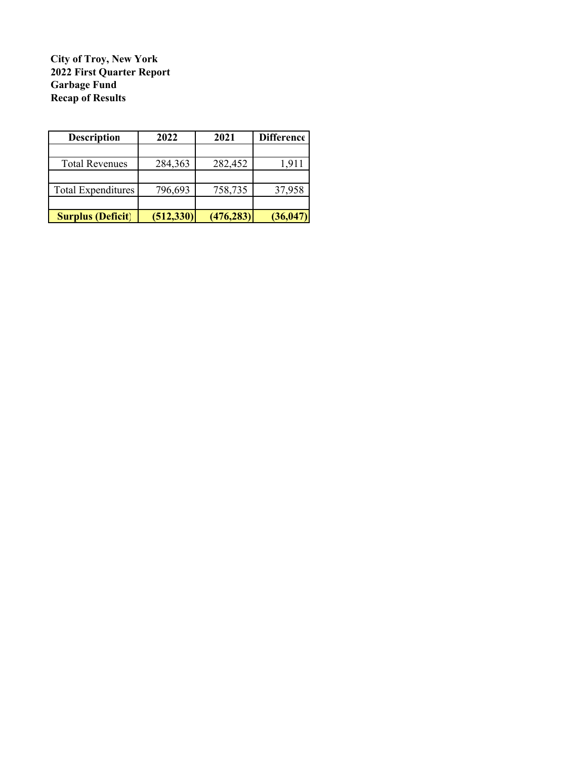#### **City of Troy, New York 2022 First Quarter Report Garbage Fund Recap of Results**

| <b>Description</b>        | 2022       | 2021       | Difference |
|---------------------------|------------|------------|------------|
|                           |            |            |            |
| <b>Total Revenues</b>     | 284,363    | 282,452    | 1,911      |
|                           |            |            |            |
| <b>Total Expenditures</b> | 796,693    | 758,735    | 37,958     |
|                           |            |            |            |
| <b>Surplus (Deficit)</b>  | (512, 330) | (476, 283) | (36, 047)  |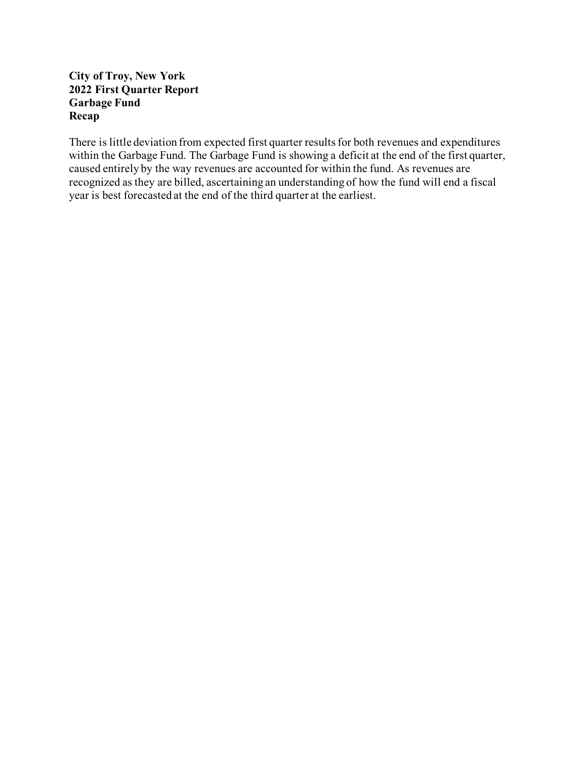#### **City of Troy, New York 2022 First Quarter Report Garbage Fund Recap**

There is little deviation from expected first quarter results for both revenues and expenditures within the Garbage Fund. The Garbage Fund is showing a deficit at the end of the first quarter, caused entirely by the way revenues are accounted for within the fund. As revenues are recognized as they are billed, ascertaining an understanding of how the fund will end a fiscal year is best forecasted at the end of the third quarter at the earliest.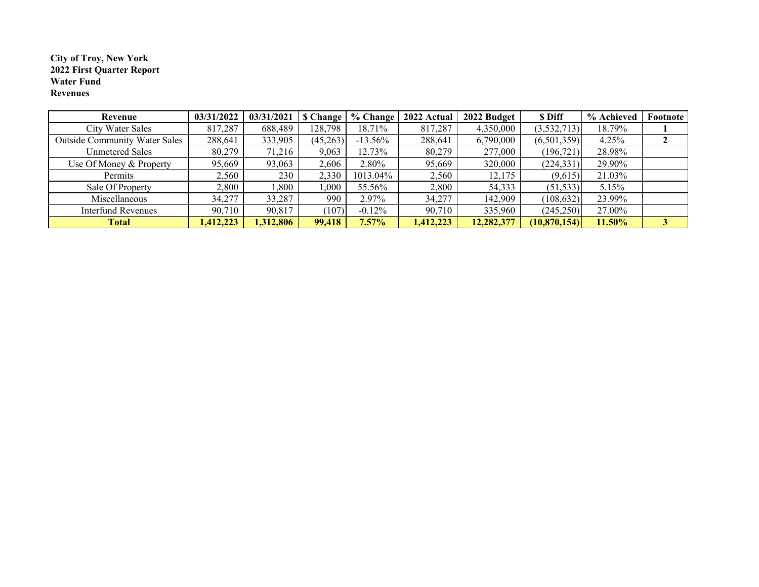#### **City of Troy, New York Water Fund Revenues 2022 First Quarter Report**

| Revenue                              | 03/31/2022 | 03/31/2021 | <b>S</b> Change | % Change   | 2022 Actual | 2022 Budget | \$ Diff        | % Achieved | Footnote |
|--------------------------------------|------------|------------|-----------------|------------|-------------|-------------|----------------|------------|----------|
| <b>City Water Sales</b>              | 817,287    | 688,489    | 128,798         | 18.71%     | 817,287     | 4,350,000   | (3,532,713)    | 18.79%     |          |
| <b>Outside Community Water Sales</b> | 288,641    | 333,905    | (45,263)        | $-13.56\%$ | 288,641     | 6,790,000   | (6,501,359)    | 4.25%      |          |
| <b>Unmetered Sales</b>               | 80,279     | 71,216     | 9.063           | 12.73%     | 80,279      | 277,000     | (196, 721)     | 28.98%     |          |
| Use Of Money & Property              | 95,669     | 93,063     | 2,606           | 2.80%      | 95,669      | 320,000     | (224, 331)     | 29.90%     |          |
| Permits                              | 2,560      | 230        | 2,330           | 1013.04%   | 2,560       | 12,175      | (9,615)        | 21.03%     |          |
| Sale Of Property                     | 2,800      | .800       | 1,000           | 55.56%     | 2,800       | 54,333      | (51, 533)      | 5.15%      |          |
| Miscellaneous                        | 34,277     | 33,287     | 990             | 2.97%      | 34,277      | 142,909     | (108, 632)     | 23.99%     |          |
| Interfund Revenues                   | 90,710     | 90,817     | (107)           | $-0.12\%$  | 90,710      | 335,960     | (245,250)      | 27.00%     |          |
| <b>Total</b>                         | 1,412,223  | 1,312,806  | 99,418          | $7.57\%$   | 1,412,223   | 12,282,377  | (10, 870, 154) | 11.50%     | 3        |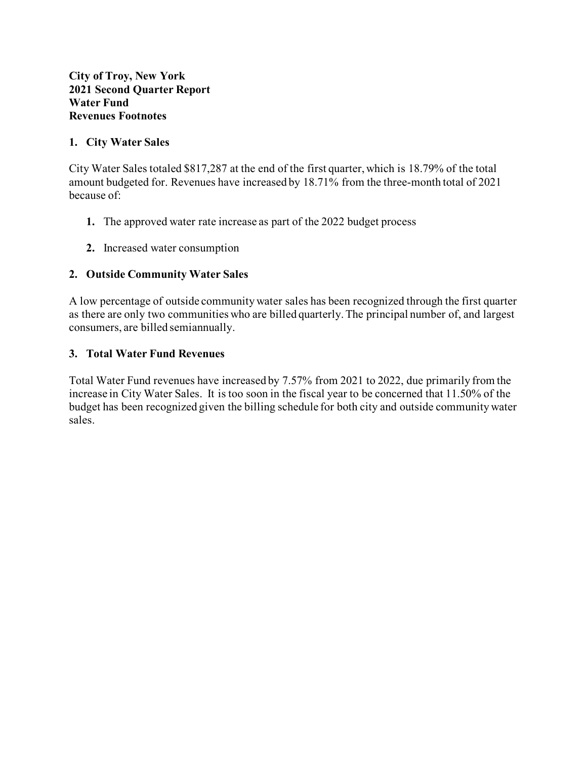#### **1. City Water Sales**

City Water Sales totaled \$817,287 at the end of the first quarter, which is 18.79% of the total amount budgeted for. Revenues have increased by 18.71% from the three-month total of 2021 because of:

- **1.** The approved water rate increase as part of the 2022 budget process
- **2.** Increased water consumption

#### **2. Outside Community Water Sales**

A low percentage of outside community water sales has been recognized through the first quarter as there are only two communities who are billed quarterly. The principal number of, and largest consumers, are billed semiannually.

#### **3. Total Water Fund Revenues**

Total Water Fund revenues have increased by 7.57% from 2021 to 2022, due primarily from the increase in City Water Sales. It is too soon in the fiscal year to be concerned that 11.50% of the budget has been recognized given the billing schedule for both city and outside community water sales.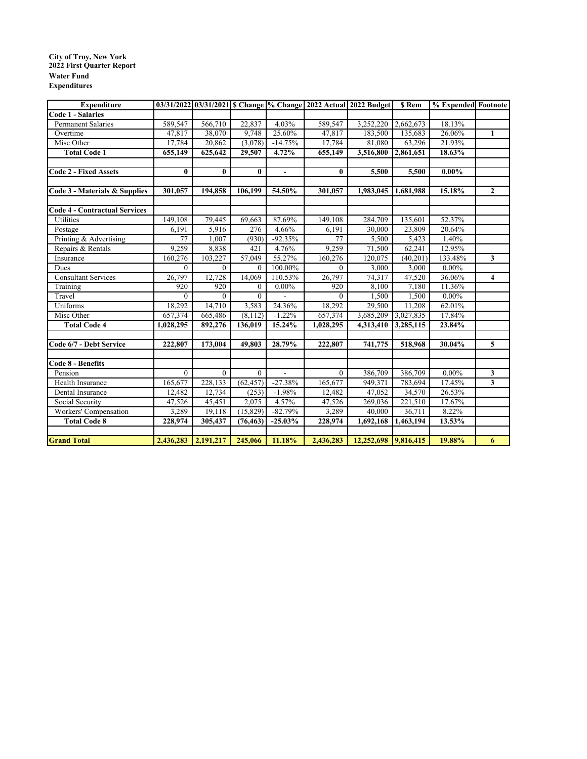#### **City of Troy, New York Water Fund Expenditures 2022 First Quarter Report**

| <b>Expenditure</b>                   |           |           |                |                |              | 03/31/2022 03/31/2021 S Change % Change 2022 Actual 2022 Budget | <b>S</b> Rem           | % Expended Footnote |                         |
|--------------------------------------|-----------|-----------|----------------|----------------|--------------|-----------------------------------------------------------------|------------------------|---------------------|-------------------------|
| <b>Code 1 - Salaries</b>             |           |           |                |                |              |                                                                 |                        |                     |                         |
| <b>Permanent Salaries</b>            | 589,547   | 566,710   | 22,837         | 4.03%          | 589,547      | 3,252,220                                                       | 2,662,673              | 18.13%              |                         |
| Overtime                             | 47.817    | 38,070    | 9.748          | 25.60%         | 47,817       | 183,500                                                         | 135,683                | 26.06%              | $\mathbf{1}$            |
| Misc Other                           | 17,784    | 20,862    | (3,078)        | $-14.75%$      | 17,784       | 81,080                                                          | 63,296                 | 21.93%              |                         |
| <b>Total Code 1</b>                  | 655,149   | 625,642   | 29,507         | 4.72%          | 655,149      | 3,516,800                                                       | 2,861,651              | 18.63%              |                         |
|                                      |           |           |                |                |              |                                                                 |                        |                     |                         |
| <b>Code 2 - Fixed Assets</b>         | $\bf{0}$  | $\bf{0}$  | $\bf{0}$       | $\blacksquare$ | $\mathbf{0}$ | 5,500                                                           | 5,500                  | $0.00\%$            |                         |
|                                      |           |           |                |                |              |                                                                 |                        |                     |                         |
| Code 3 - Materials & Supplies        | 301,057   | 194,858   | 106,199        | 54.50%         | 301,057      | 1,983,045                                                       | 1,681,988              | 15.18%              | $\overline{2}$          |
|                                      |           |           |                |                |              |                                                                 |                        |                     |                         |
| <b>Code 4 - Contractual Services</b> |           |           |                |                |              |                                                                 |                        |                     |                         |
| Utilities                            | 149,108   | 79,445    | 69,663         | 87.69%         | 149,108      | 284,709                                                         | 135,601                | 52.37%              |                         |
| Postage                              | 6,191     | 5,916     | 276            | 4.66%          | 6,191        | 30,000                                                          | 23,809                 | 20.64%              |                         |
| Printing & Advertising               | 77        | 1,007     | (930)          | $-92.35%$      | 77           | 5,500                                                           | 5,423                  | 1.40%               |                         |
| Repairs & Rentals                    | 9,259     | 8,838     | 421            | 4.76%          | 9,259        | 71,500                                                          | 62,241                 | 12.95%              |                         |
| Insurance                            | 160,276   | 103,227   | 57,049         | 55.27%         | 160,276      | 120,075                                                         | (40, 201)              | 133.48%             | $\mathbf{3}$            |
| Dues                                 | $\theta$  | $\theta$  | $\theta$       | 100.00%        | $\theta$     | 3,000                                                           | 3,000                  | $0.00\%$            |                         |
| Consultant Services                  | 26,797    | 12,728    | 14,069         | 110.53%        | 26,797       | 74,317                                                          | 47,520                 | 36.06%              | $\overline{\mathbf{4}}$ |
| Training                             | 920       | 920       | $\mathbf{0}$   | $0.00\%$       | 920          | 8.100                                                           | 7.180                  | 11.36%              |                         |
| Travel                               | $\Omega$  | $\Omega$  | $\Omega$       |                | $\Omega$     | 1,500                                                           | 1,500                  | $0.00\%$            |                         |
| Uniforms                             | 18,292    | 14,710    | 3,583          | 24.36%         | 18,292       | 29,500                                                          | 11,208                 | 62.01%              |                         |
| Misc Other                           | 657,374   | 665,486   | (8, 112)       | $-1.22%$       | 657,374      | 3,685,209                                                       | 3,027,835              | 17.84%              |                         |
| <b>Total Code 4</b>                  | 1,028,295 | 892,276   | 136,019        | 15.24%         | 1,028,295    | 4,313,410                                                       | 3,285,115              | 23.84%              |                         |
| Code 6/7 - Debt Service              | 222,807   | 173,004   | 49,803         | 28.79%         | 222,807      | 741,775                                                         | 518,968                | 30.04%              | $\overline{5}$          |
|                                      |           |           |                |                |              |                                                                 |                        |                     |                         |
| <b>Code 8 - Benefits</b>             |           |           |                |                |              |                                                                 |                        |                     |                         |
| Pension                              | $\theta$  | $\theta$  | $\overline{0}$ |                | $\mathbf{0}$ | 386,709                                                         | 386,709                | $0.00\%$            | $\overline{\mathbf{3}}$ |
| Health Insurance                     | 165,677   | 228,133   | (62, 457)      | $-27.38%$      | 165,677      | 949,371                                                         | 783,694                | 17.45%              | $\mathbf{3}$            |
| Dental Insurance                     | 12,482    | 12,734    | (253)          | $-1.98%$       | 12,482       | 47,052                                                          | 34,570                 | 26.53%              |                         |
| Social Security                      | 47,526    | 45,451    | 2,075          | 4.57%          | 47,526       | 269,036                                                         | 221,510                | 17.67%              |                         |
| Workers' Compensation                | 3,289     | 19,118    | (15, 829)      | $-82.79%$      | 3,289        | 40,000                                                          | 36,711                 | 8.22%               |                         |
| <b>Total Code 8</b>                  | 228,974   | 305,437   | (76, 463)      | $-25.03\%$     | 228,974      | 1,692,168                                                       | $\overline{1,}463,194$ | 13.53%              |                         |
|                                      |           |           |                |                |              |                                                                 |                        |                     |                         |
| <b>Grand Total</b>                   | 2,436,283 | 2,191,217 | 245,066        | 11.18%         | 2,436,283    | 12,252,698 9,816,415                                            |                        | 19.88%              | 6                       |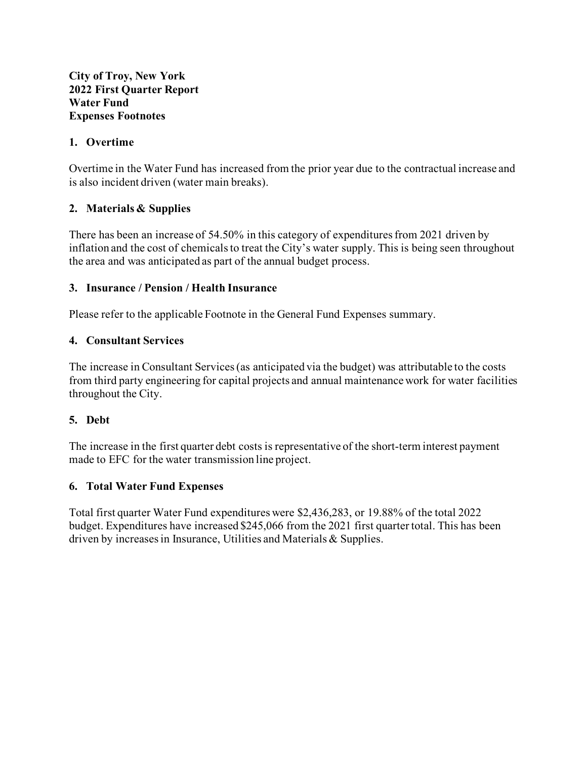#### **City of Troy, New York 2022 First Quarter Report Water Fund Expenses Footnotes**

#### **1. Overtime**

Overtime in the Water Fund has increased from the prior year due to the contractual increase and is also incident driven (water main breaks).

## **2. Materials & Supplies**

There has been an increase of 54.50% in this category of expenditures from 2021 driven by inflation and the cost of chemicals to treat the City's water supply. This is being seen throughout the area and was anticipated as part of the annual budget process.

#### **3. Insurance / Pension / Health Insurance**

Please refer to the applicable Footnote in the General Fund Expenses summary.

## **4. Consultant Services**

The increase in Consultant Services (as anticipated via the budget) was attributable to the costs from third party engineering for capital projects and annual maintenance work for water facilities throughout the City.

#### **5. Debt**

The increase in the first quarter debt costs is representative of the short-term interest payment made to EFC for the water transmission line project.

#### **6. Total Water Fund Expenses**

Total first quarter Water Fund expenditures were \$2,436,283, or 19.88% of the total 2022 budget. Expenditures have increased \$245,066 from the 2021 first quarter total. This has been driven by increases in Insurance, Utilities and Materials & Supplies.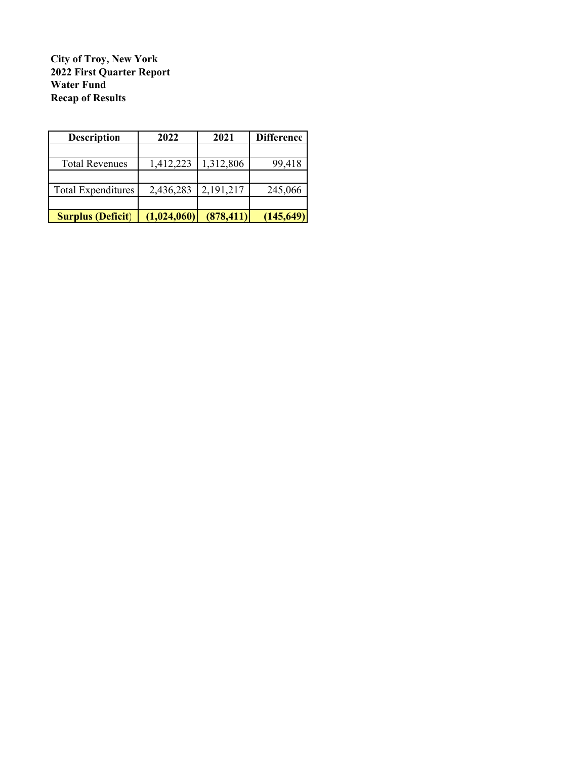**City of Troy, New York 2022 First Quarter Report Water Fund Recap of Results**

| <b>Description</b>        | 2022        | 2021       | <b>Difference</b> |
|---------------------------|-------------|------------|-------------------|
|                           |             |            |                   |
| <b>Total Revenues</b>     | 1,412,223   | 1,312,806  | 99,418            |
|                           |             |            |                   |
| <b>Total Expenditures</b> | 2,436,283   | 2,191,217  | 245,066           |
|                           |             |            |                   |
| <b>Surplus (Deficit)</b>  | (1,024,060) | (878, 411) | (145, 649)        |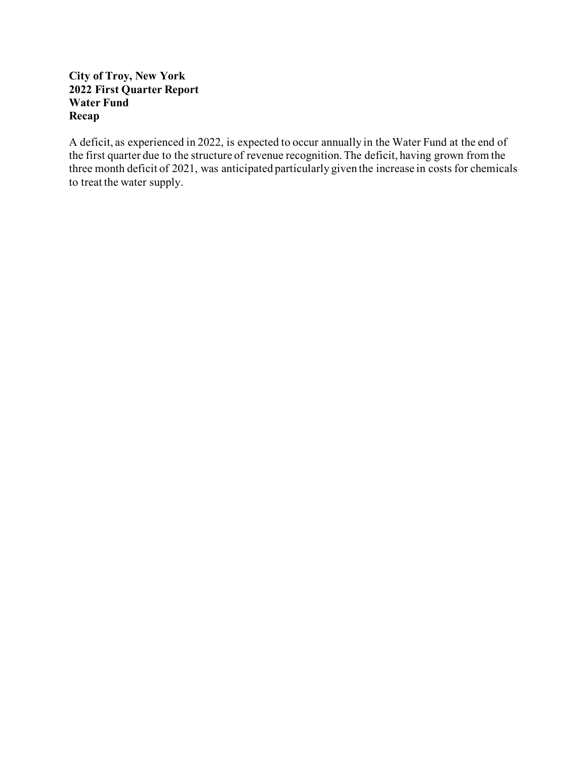#### **City of Troy, New York 2022 First Quarter Report Water Fund Recap**

A deficit, as experienced in 2022, is expected to occur annually in the Water Fund at the end of the first quarter due to the structure of revenue recognition. The deficit, having grown from the three month deficit of 2021, was anticipated particularly given the increase in costs for chemicals to treat the water supply.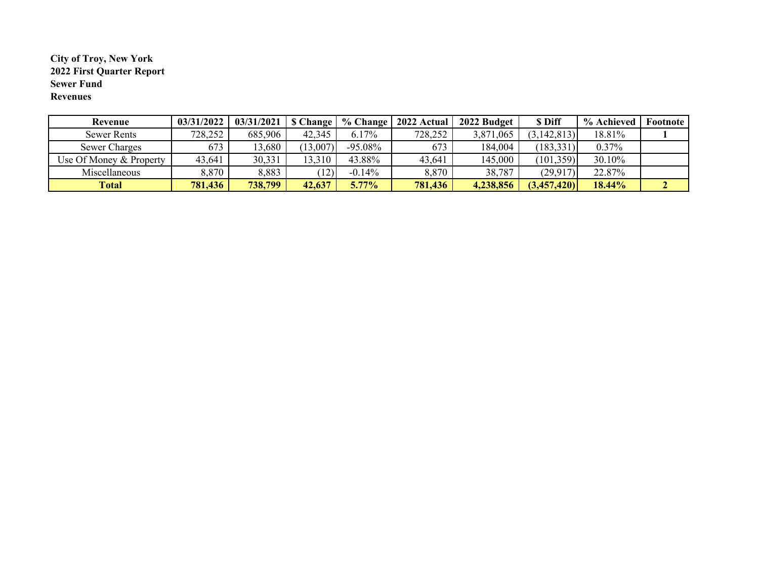#### **City of Troy, New York 2022 First Quarter Report Sewer Fund Revenues**

| Revenue                 | 03/31/2022 | $03/31/2021$   \$ Change |              | % Change   | 2022 Actual | 2022 Budget | <b>S</b> Diff | % Achieved | Footnote |
|-------------------------|------------|--------------------------|--------------|------------|-------------|-------------|---------------|------------|----------|
| Sewer Rents             | 728,252    | 685,906                  | 42,345       | $6.17\%$   | 728,252     | 3,871,065   | (3, 142, 813) | 18.81%     |          |
| Sewer Charges           | 673        | 13,680                   | (13,007)     | $-95.08\%$ | 673         | 184,004     | (183, 331)    | $0.37\%$   |          |
| Use Of Money & Property | 43,641     | 30,331                   | 13,310       | 43.88%     | 43,641      | 145,000     | (101, 359)    | 30.10%     |          |
| Miscellaneous           | 8,870      | 8,883                    | $ 12\rangle$ | $-0.14%$   | 8,870       | 38,787      | (29, 917)     | 22.87%     |          |
| <b>Total</b>            | 781,436    | 738,799                  | 42,637       | $5.77\%$   | 781,436     | 4,238,856   | (3,457,420)   | 18.44%     |          |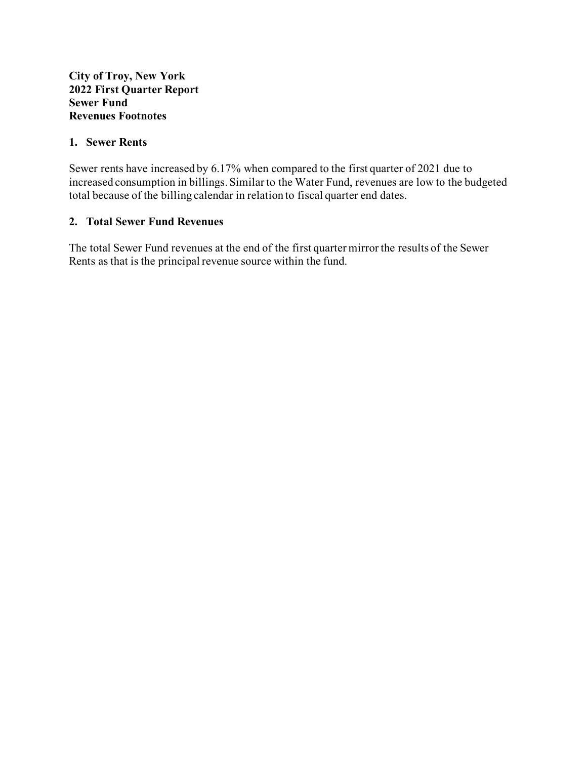#### **1. Sewer Rents**

Sewer rents have increased by 6.17% when compared to the first quarter of 2021 due to increased consumption in billings. Similar to the Water Fund, revenues are low to the budgeted total because of the billing calendar in relation to fiscal quarter end dates.

#### **2. Total Sewer Fund Revenues**

The total Sewer Fund revenues at the end of the first quarter mirror the results of the Sewer Rents as that is the principal revenue source within the fund.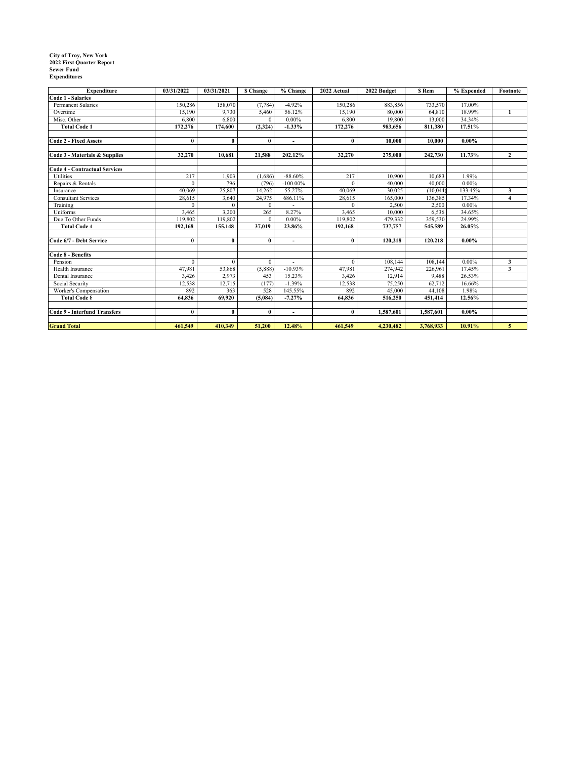# **City of Troy, New York 2022 First Quarter Report Sewer Fund Expenditures**

| Expenditure                          | 03/31/2022 | 03/31/2021   | <b>S</b> Change | % Change                 | 2022 Actual  | 2022 Budget | <b>S</b> Rem | % Expended | Footnote       |
|--------------------------------------|------------|--------------|-----------------|--------------------------|--------------|-------------|--------------|------------|----------------|
| <b>Code 1 - Salaries</b>             |            |              |                 |                          |              |             |              |            |                |
| <b>Permanent Salaries</b>            | 150,286    | 158,070      | (7, 784)        | $-4.92%$                 | 150,286      | 883,856     | 733,570      | 17.00%     |                |
| Overtime                             | 15,190     | 9,730        | 5,460           | 56.12%                   | 15,190       | 80,000      | 64,810       | 18.99%     | $\mathbf{1}$   |
| Misc. Other                          | 6,800      | 6,800        | $\Omega$        | $0.00\%$                 | 6,800        | 19,800      | 13,000       | 34.34%     |                |
| <b>Total Code 1</b>                  | 172,276    | 174,600      | (2,324)         | $-1.33%$                 | 172,276      | 983,656     | 811,380      | 17.51%     |                |
|                                      |            |              |                 |                          |              |             |              |            |                |
| <b>Code 2 - Fixed Assets</b>         | $\bf{0}$   | 0            | $\bf{0}$        | $\overline{\phantom{a}}$ | $\bf{0}$     | 10,000      | 10,000       | $0.00\%$   |                |
|                                      |            |              |                 |                          |              |             |              |            |                |
| Code 3 - Materials & Supplies        | 32,270     | 10.681       | 21,588          | 202.12%                  | 32,270       | 275,000     | 242,730      | 11.73%     | $\mathbf{2}$   |
|                                      |            |              |                 |                          |              |             |              |            |                |
| <b>Code 4 - Contractual Services</b> |            |              |                 |                          |              |             |              |            |                |
| Utilities                            | 217        | 1,903        | (1,686)         | $-88.60%$                | 217          | 10,900      | 10,683       | 1.99%      |                |
| Repairs & Rentals                    | $\Omega$   | 796          | (796)           | $-100.00\%$              | $\Omega$     | 40,000      | 40,000       | $0.00\%$   |                |
| Insurance                            | 40,069     | 25,807       | 14,262          | 55.27%                   | 40,069       | 30.025      | (10,044)     | 133.45%    | 3              |
| <b>Consultant Services</b>           | 28,615     | 3,640        | 24,975          | 686.11%                  | 28,615       | 165,000     | 136,385      | 17.34%     | $\overline{4}$ |
| Training                             | $\theta$   | $\mathbf{0}$ | $\theta$        |                          | $\Omega$     | 2,500       | 2,500        | $0.00\%$   |                |
| Uniforms                             | 3,465      | 3,200        | 265             | 8.27%                    | 3,465        | 10,000      | 6,536        | 34.65%     |                |
| Due To Other Funds                   | 119,802    | 119,802      | $\theta$        | $0.00\%$                 | 119,802      | 479,332     | 359,530      | 24.99%     |                |
| <b>Total Code 4</b>                  | 192,168    | 155,148      | 37.019          | 23.86%                   | 192,168      | 737,757     | 545,589      | 26.05%     |                |
|                                      |            |              |                 |                          |              |             |              |            |                |
| Code 6/7 - Debt Service              | $\bf{0}$   | $\bf{0}$     | $\bf{0}$        | $\overline{\phantom{0}}$ | $\bf{0}$     | 120,218     | 120,218      | $0.00\%$   |                |
| Code 8 - Benefits                    |            |              |                 |                          |              |             |              |            |                |
| Pension                              | $\theta$   | $\theta$     | $\mathbf{0}$    |                          | $\mathbf{0}$ | 108,144     | 108,144      | $0.00\%$   | 3              |
| Health Insurance                     | 47,981     | 53,868       | (5,888)         | $-10.93%$                | 47,981       | 274,942     | 226,961      | 17.45%     | 3              |
| Dental Insurance                     | 3,426      | 2,973        | 453             | 15.23%                   | 3,426        | 12,914      | 9,488        | 26.53%     |                |
| Social Security                      | 12,538     | 12,715       | (177)           | $-1.39%$                 | 12,538       | 75,250      | 62,712       | 16.66%     |                |
| Worker's Compensation                | 892        | 363          | 528             | 145.55%                  | 892          | 45,000      | 44,108       | 1.98%      |                |
| <b>Total Code 8</b>                  | 64.836     | 69.920       | (5.084)         | $-7.27%$                 | 64,836       | 516,250     | 451,414      | 12.56%     |                |
|                                      |            |              |                 |                          |              |             |              |            |                |
| Code 9 - Interfund Transfers         | $\bf{0}$   | 0            | $\bf{0}$        | $\overline{\phantom{0}}$ | $\mathbf{0}$ | 1,587,601   | 1,587,601    | $0.00\%$   |                |
|                                      |            |              |                 |                          |              |             |              |            |                |
| <b>Grand Total</b>                   | 461,549    | 410,349      | 51,200          | 12.48%                   | 461,549      | 4,230,482   | 3,768,933    | 10.91%     | 5              |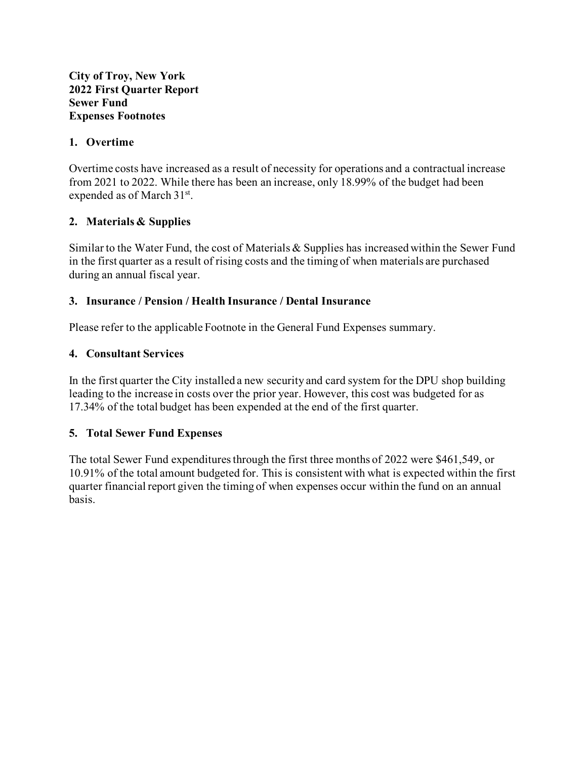#### **City of Troy, New York 2022 First Quarter Report Sewer Fund Expenses Footnotes**

#### **1. Overtime**

Overtime costs have increased as a result of necessity for operations and a contractual increase from 2021 to 2022. While there has been an increase, only 18.99% of the budget had been expended as of March 31<sup>st</sup>.

## **2. Materials & Supplies**

Similar to the Water Fund, the cost of Materials & Supplies has increased within the Sewer Fund in the first quarter as a result of rising costs and the timing of when materials are purchased during an annual fiscal year.

#### **3. Insurance / Pension / Health Insurance / Dental Insurance**

Please refer to the applicable Footnote in the General Fund Expenses summary.

#### **4. Consultant Services**

In the first quarter the City installed a new security and card system for the DPU shop building leading to the increase in costs over the prior year. However, this cost was budgeted for as 17.34% of the total budget has been expended at the end of the first quarter.

#### **5. Total Sewer Fund Expenses**

The total Sewer Fund expenditures through the first three months of 2022 were \$461,549, or 10.91% of the total amount budgeted for. This is consistent with what is expected within the first quarter financial report given the timing of when expenses occur within the fund on an annual basis.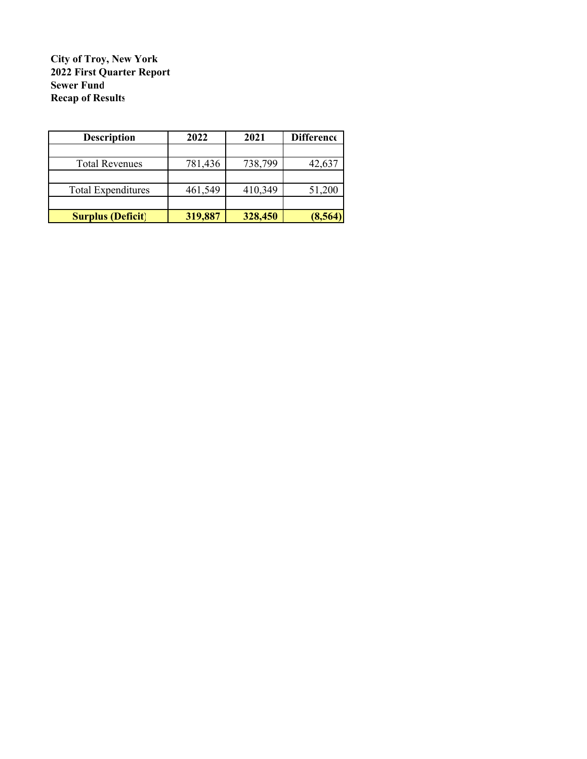**City of Troy, New York Sewer Fund Recap of Results 2022 First Quarter Report**

| <b>Description</b>        | 2022    | 2021    | <b>Difference</b> |
|---------------------------|---------|---------|-------------------|
|                           |         |         |                   |
| <b>Total Revenues</b>     | 781,436 | 738,799 | 42,637            |
|                           |         |         |                   |
| <b>Total Expenditures</b> | 461,549 | 410,349 | 51,200            |
|                           |         |         |                   |
| <b>Surplus (Deficit)</b>  | 319,887 | 328,450 | (8, 564)          |